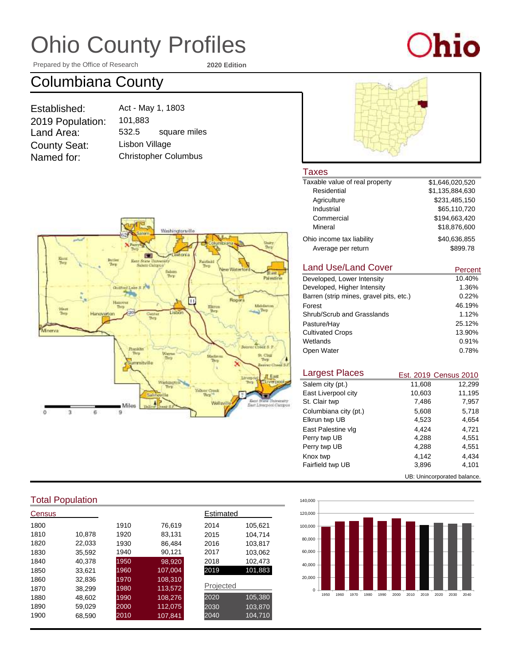Prepared by the Office of Research **2020 Edition**

# $O$ hio

### Columbiana County

| Established:        |  |
|---------------------|--|
| 2019 Population:    |  |
| Land Area:          |  |
| <b>County Seat:</b> |  |
| Named for:          |  |

Christopher Columbus Act - May 1, 1803 101,883 532.5 Lisbon Village square miles



### Taxes<br>Taxable

| Taxable value of real property | \$1,646,020,520 |
|--------------------------------|-----------------|
| Residential                    | \$1,135,884,630 |
| Agriculture                    | \$231.485.150   |
| Industrial                     | \$65,110,720    |
| Commercial                     | \$194,663,420   |
| Mineral                        | \$18,876,600    |
| Ohio income tax liability      | \$40.636.855    |
| Average per return             | \$899.78        |

#### Land Use/Land Cover

| Land Use/Land Cover                     | Percent |
|-----------------------------------------|---------|
| Developed, Lower Intensity              | 10.40%  |
| Developed, Higher Intensity             | 1.36%   |
| Barren (strip mines, gravel pits, etc.) | 0.22%   |
| Forest                                  | 46.19%  |
| Shrub/Scrub and Grasslands              | 1.12%   |
| Pasture/Hay                             | 25.12%  |
| <b>Cultivated Crops</b>                 | 13.90%  |
| Wetlands                                | 0.91%   |
| Open Water                              | 0.78%   |

| <b>Largest Places</b> |                             | Est. 2019 Census 2010 |
|-----------------------|-----------------------------|-----------------------|
| Salem city (pt.)      | 11,608                      | 12,299                |
| East Liverpool city   | 10,603                      | 11.195                |
| St. Clair twp         | 7,486                       | 7,957                 |
| Columbiana city (pt.) | 5,608                       | 5,718                 |
| Elkrun twp UB         | 4,523                       | 4.654                 |
| East Palestine vlg    | 4.424                       | 4.721                 |
| Perry twp UB          | 4.288                       | 4.551                 |
| Perry twp UB          | 4,288                       | 4,551                 |
| Knox twp              | 4.142                       | 4.434                 |
| Fairfield twp UB      | 3,896                       | 4,101                 |
|                       | UB: Unincorporated balance. |                       |



### Total Population

| Census |        |      |         | Estimated |         |
|--------|--------|------|---------|-----------|---------|
| 1800   |        | 1910 | 76,619  | 2014      | 105,621 |
| 1810   | 10,878 | 1920 | 83,131  | 2015      | 104,714 |
| 1820   | 22,033 | 1930 | 86.484  | 2016      | 103,817 |
| 1830   | 35,592 | 1940 | 90,121  | 2017      | 103,062 |
| 1840   | 40,378 | 1950 | 98,920  | 2018      | 102,473 |
| 1850   | 33.621 | 1960 | 107,004 | 2019      | 101,883 |
| 1860   | 32,836 | 1970 | 108,310 |           |         |
| 1870   | 38,299 | 1980 | 113,572 | Projected |         |
| 1880   | 48.602 | 1990 | 108,276 | 2020      | 105,380 |
| 1890   | 59,029 | 2000 | 112,075 | 2030      | 103,870 |
| 1900   | 68,590 | 2010 | 107,841 | 2040      | 104.710 |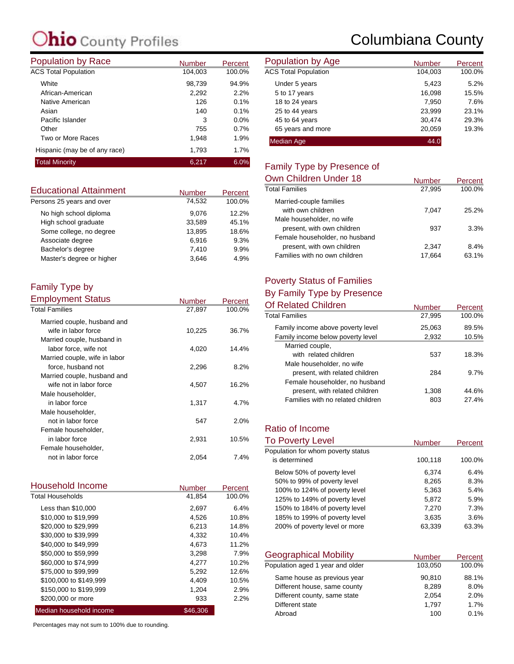| <b>Population by Race</b>     | <b>Number</b> | Percent | <b>Population by Age</b>    |
|-------------------------------|---------------|---------|-----------------------------|
| <b>ACS Total Population</b>   | 104,003       | 100.0%  | <b>ACS Total Population</b> |
| White                         | 98,739        | 94.9%   | Under 5 years               |
| African-American              | 2,292         | 2.2%    | 5 to 17 years               |
| Native American               | 126           | 0.1%    | 18 to 24 years              |
| Asian                         | 140           | 0.1%    | 25 to 44 years              |
| Pacific Islander              | 3             | 0.0%    | 45 to 64 years              |
| Other                         | 755           | 0.7%    | 65 years and more           |
| Two or More Races             | 1,948         | 1.9%    | <b>Median Age</b>           |
| Hispanic (may be of any race) | 1,793         | 1.7%    |                             |
| <b>Total Minority</b>         | 6.217         | 6.0%    | Eamily Type by Dr           |

| <b>Educational Attainment</b> | <b>Number</b> | Percent |
|-------------------------------|---------------|---------|
| Persons 25 years and over     | 74.532        | 100.0%  |
| No high school diploma        | 9.076         | 12.2%   |
| High school graduate          | 33,589        | 45.1%   |
| Some college, no degree       | 13.895        | 18.6%   |
| Associate degree              | 6.916         | 9.3%    |
| Bachelor's degree             | 7,410         | 9.9%    |
| Master's degree or higher     | 3.646         | 4.9%    |

#### Family Type by Employment Status

| Employment Status             | Number | Percent |
|-------------------------------|--------|---------|
| <b>Total Families</b>         | 27,897 | 100.0%  |
| Married couple, husband and   |        |         |
| wife in labor force           | 10,225 | 36.7%   |
| Married couple, husband in    |        |         |
| labor force, wife not         | 4,020  | 14.4%   |
| Married couple, wife in labor |        |         |
| force, husband not            | 2,296  | 8.2%    |
| Married couple, husband and   |        |         |
| wife not in labor force       | 4,507  | 16.2%   |
| Male householder,             |        |         |
| in labor force                | 1,317  | 4.7%    |
| Male householder,             |        |         |
| not in labor force            | 547    | 2.0%    |
| Female householder,           |        |         |
| in labor force                | 2,931  | 10.5%   |
| Female householder,           |        |         |
| not in labor force            | 2,054  | 7.4%    |

| Household Income        | Number   | Percent |
|-------------------------|----------|---------|
| <b>Total Households</b> | 41,854   | 100.0%  |
| Less than \$10,000      | 2,697    | 6.4%    |
| \$10,000 to \$19,999    | 4,526    | 10.8%   |
| \$20,000 to \$29,999    | 6.213    | 14.8%   |
| \$30,000 to \$39,999    | 4,332    | 10.4%   |
| \$40,000 to \$49,999    | 4.673    | 11.2%   |
| \$50,000 to \$59,999    | 3,298    | 7.9%    |
| \$60,000 to \$74,999    | 4.277    | 10.2%   |
| \$75,000 to \$99,999    | 5,292    | 12.6%   |
| \$100,000 to \$149,999  | 4,409    | 10.5%   |
| \$150,000 to \$199,999  | 1,204    | 2.9%    |
| \$200,000 or more       | 933      | 2.2%    |
| Median household income | \$46,306 |         |

Percentages may not sum to 100% due to rounding.

### Columbiana County

| <b>Number</b> | Percent | Population by Age           | <b>Number</b> | Percent |
|---------------|---------|-----------------------------|---------------|---------|
| 104.003       | 100.0%  | <b>ACS Total Population</b> | 104.003       | 100.0%  |
| 98,739        | 94.9%   | Under 5 years               | 5,423         | 5.2%    |
| 2,292         | 2.2%    | 5 to 17 years               | 16,098        | 15.5%   |
| 126           | 0.1%    | 18 to 24 years              | 7,950         | 7.6%    |
| 140           | 0.1%    | 25 to 44 years              | 23,999        | 23.1%   |
| 3             | 0.0%    | 45 to 64 years              | 30.474        | 29.3%   |
| 755           | 0.7%    | 65 years and more           | 20,059        | 19.3%   |
| 1,948         | 1.9%    | <b>Median Age</b>           | 44.0          |         |

### Family Type by Presence of

| Own Children Under 18          | <b>Number</b> | Percent |
|--------------------------------|---------------|---------|
| <b>Total Families</b>          | 27,995        | 100.0%  |
| Married-couple families        |               |         |
| with own children              | 7.047         | 25.2%   |
| Male householder, no wife      |               |         |
| present, with own children     | 937           | 3.3%    |
| Female householder, no husband |               |         |
| present, with own children     | 2.347         | 8.4%    |
| Families with no own children  | 17.664        | 63.1%   |

### Poverty Status of Families

### By Family Type by Presence

| <b>Number</b> | Percent |
|---------------|---------|
| 27,995        | 100.0%  |
| 25,063        | 89.5%   |
| 2,932         | 10.5%   |
|               |         |
| 537           | 18.3%   |
|               |         |
| 284           | 9.7%    |
|               |         |
| 1,308         | 44.6%   |
| 803           | 27.4%   |
|               |         |

### Ratio of Income

| <b>To Poverty Level</b>            | <b>Number</b> | <b>Percent</b> |
|------------------------------------|---------------|----------------|
| Population for whom poverty status |               |                |
| is determined                      | 100,118       | 100.0%         |
| Below 50% of poverty level         | 6.374         | $6.4\%$        |
| 50% to 99% of poverty level        | 8.265         | 8.3%           |
| 100% to 124% of poverty level      | 5,363         | 5.4%           |
| 125% to 149% of poverty level      | 5,872         | 5.9%           |
| 150% to 184% of poverty level      | 7,270         | 7.3%           |
| 185% to 199% of poverty level      | 3.635         | 3.6%           |
| 200% of poverty level or more      | 63,339        | 63.3%          |

| <b>Geographical Mobility</b>     | <b>Number</b> | Percent |
|----------------------------------|---------------|---------|
| Population aged 1 year and older | 103,050       | 100.0%  |
| Same house as previous year      | 90,810        | 88.1%   |
| Different house, same county     | 8.289         | 8.0%    |
| Different county, same state     | 2.054         | 2.0%    |
| Different state                  | 1.797         | 1.7%    |
| Abroad                           | 100           | 0.1%    |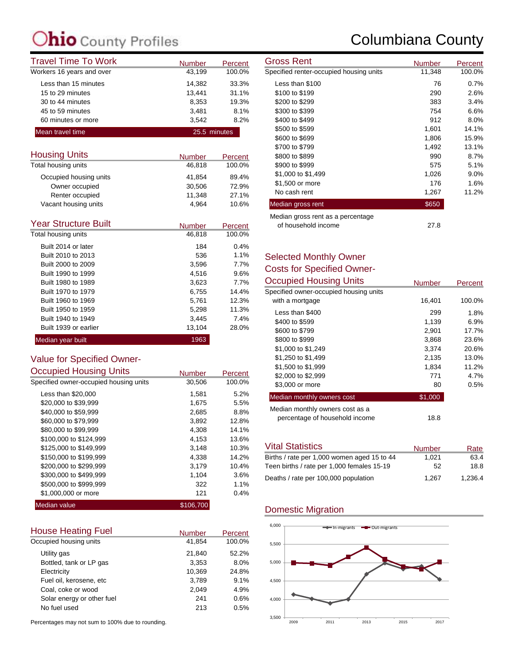### **C**ounty Profiles

| <b>Travel Time To Work</b> | <b>Number</b> | Percent | <b>Gross Rent</b>                                                                                                                                                                                                                                                                                                                                                                                                      | Number     |
|----------------------------|---------------|---------|------------------------------------------------------------------------------------------------------------------------------------------------------------------------------------------------------------------------------------------------------------------------------------------------------------------------------------------------------------------------------------------------------------------------|------------|
| Workers 16 years and over  | 43,199        | 100.0%  | Specified renter-occupied housing units                                                                                                                                                                                                                                                                                                                                                                                | 11,348     |
| Less than 15 minutes       | 14.382        | 33.3%   | Less than \$100                                                                                                                                                                                                                                                                                                                                                                                                        | 76         |
| 15 to 29 minutes           | 13.441        | 31.1%   | \$100 to \$199                                                                                                                                                                                                                                                                                                                                                                                                         | <b>290</b> |
| 30 to 44 minutes           | 8,353         | 19.3%   | \$200 to \$299                                                                                                                                                                                                                                                                                                                                                                                                         | 383        |
| 45 to 59 minutes           | 3.481         | 8.1%    | \$300 to \$399                                                                                                                                                                                                                                                                                                                                                                                                         | 754        |
| 60 minutes or more         | 3.542         | 8.2%    | \$400 to \$499                                                                                                                                                                                                                                                                                                                                                                                                         | 912        |
| Mean travel time           | 25.5 minutes  |         | \$500 to \$599                                                                                                                                                                                                                                                                                                                                                                                                         | 1,601      |
|                            |               |         | $\mathbf{a} \mathbf{a} \mathbf{a} \mathbf{a} \mathbf{b} \mathbf{a} \mathbf{a} \mathbf{b} \mathbf{a} \mathbf{b} \mathbf{b} \mathbf{b} \mathbf{b} \mathbf{b} \mathbf{b} \mathbf{b} \mathbf{b} \mathbf{b} \mathbf{b} \mathbf{b} \mathbf{b} \mathbf{b} \mathbf{b} \mathbf{b} \mathbf{b} \mathbf{b} \mathbf{b} \mathbf{b} \mathbf{b} \mathbf{b} \mathbf{b} \mathbf{b} \mathbf{b} \mathbf{b} \mathbf{b} \mathbf{b} \mathbf{$ | 1.000      |

| <b>Housing Units</b>   | <b>Number</b> | Percent |
|------------------------|---------------|---------|
| Total housing units    | 46,818        | 100.0%  |
| Occupied housing units | 41.854        | 89.4%   |
| Owner occupied         | 30,506        | 72.9%   |
| Renter occupied        | 11.348        | 27.1%   |
| Vacant housing units   | 4.964         | 10.6%   |

| <b>Year Structure Built</b> | <b>Number</b> | Percent |
|-----------------------------|---------------|---------|
| Total housing units         | 46,818        | 100.0%  |
| Built 2014 or later         | 184           | 0.4%    |
| Built 2010 to 2013          | 536           | 1.1%    |
| Built 2000 to 2009          | 3,596         | 7.7%    |
| Built 1990 to 1999          | 4.516         | 9.6%    |
| Built 1980 to 1989          | 3,623         | 7.7%    |
| Built 1970 to 1979          | 6,755         | 14.4%   |
| Built 1960 to 1969          | 5,761         | 12.3%   |
| Built 1950 to 1959          | 5.298         | 11.3%   |
| Built 1940 to 1949          | 3.445         | 7.4%    |
| Built 1939 or earlier       | 13,104        | 28.0%   |
| Median year built           | 1963          |         |

### Value for Specified Owner-

| <b>Occupied Housing Units</b>          | <b>Number</b> | Percent |
|----------------------------------------|---------------|---------|
| Specified owner-occupied housing units | 30,506        | 100.0%  |
| Less than \$20,000                     | 1.581         | 5.2%    |
| \$20,000 to \$39,999                   | 1,675         | 5.5%    |
| \$40,000 to \$59,999                   | 2,685         | 8.8%    |
| \$60,000 to \$79,999                   | 3,892         | 12.8%   |
| \$80,000 to \$99,999                   | 4,308         | 14.1%   |
| \$100,000 to \$124,999                 | 4,153         | 13.6%   |
| \$125,000 to \$149,999                 | 3,148         | 10.3%   |
| \$150,000 to \$199,999                 | 4,338         | 14.2%   |
| \$200,000 to \$299,999                 | 3,179         | 10.4%   |
| \$300,000 to \$499,999                 | 1,104         | 3.6%    |
| \$500,000 to \$999.999                 | 322           | 1.1%    |
| \$1,000,000 or more                    | 121           | 0.4%    |
| Median value                           | \$106.700     |         |

| <b>House Heating Fuel</b>  | <b>Number</b> | Percent |
|----------------------------|---------------|---------|
| Occupied housing units     | 41,854        | 100.0%  |
| Utility gas                | 21.840        | 52.2%   |
| Bottled, tank or LP gas    | 3,353         | 8.0%    |
| Electricity                | 10,369        | 24.8%   |
| Fuel oil, kerosene, etc.   | 3,789         | 9.1%    |
| Coal, coke or wood         | 2.049         | 4.9%    |
| Solar energy or other fuel | 241           | 0.6%    |
| No fuel used               | 213           | 0.5%    |

Percentages may not sum to 100% due to rounding.

### Columbiana County

| Gross Rent                              | <b>Number</b> | Percent |
|-----------------------------------------|---------------|---------|
| Specified renter-occupied housing units | 11,348        | 100.0%  |
| Less than \$100                         | 76            | 0.7%    |
| \$100 to \$199                          | 290           | 2.6%    |
| \$200 to \$299                          | 383           | 3.4%    |
| \$300 to \$399                          | 754           | 6.6%    |
| \$400 to \$499                          | 912           | 8.0%    |
| \$500 to \$599                          | 1,601         | 14.1%   |
| \$600 to \$699                          | 1,806         | 15.9%   |
| \$700 to \$799                          | 1,492         | 13.1%   |
| \$800 to \$899                          | 990           | 8.7%    |
| \$900 to \$999                          | 575           | 5.1%    |
| \$1,000 to \$1,499                      | 1,026         | $9.0\%$ |
| \$1,500 or more                         | 176           | 1.6%    |
| No cash rent                            | 1,267         | 11.2%   |
| Median gross rent                       | \$650         |         |
| Median gross rent as a percentage       |               |         |
| of household income                     | 27.8          |         |

#### Selected Monthly Owner Costs for Specified Owner-<br>Coounied Hougha Unite Occupied Housing Units

| Occupied Housing Units                 | <b>Number</b> | Percent |
|----------------------------------------|---------------|---------|
| Specified owner-occupied housing units |               |         |
| with a mortgage                        | 16,401        | 100.0%  |
| Less than \$400                        | 299           | 1.8%    |
| \$400 to \$599                         | 1.139         | 6.9%    |
| \$600 to \$799                         | 2,901         | 17.7%   |
| \$800 to \$999                         | 3,868         | 23.6%   |
| \$1,000 to \$1,249                     | 3,374         | 20.6%   |
| \$1,250 to \$1,499                     | 2,135         | 13.0%   |
| \$1,500 to \$1,999                     | 1,834         | 11.2%   |
| \$2,000 to \$2,999                     | 771           | 4.7%    |
| \$3,000 or more                        | 80            | 0.5%    |
| Median monthly owners cost             | \$1,000       |         |
| Median monthly owners cost as a        |               |         |
| percentage of household income         | 18.8          |         |

| <b>Vital Statistics</b>                     | <b>Number</b> | Rate    |
|---------------------------------------------|---------------|---------|
| Births / rate per 1,000 women aged 15 to 44 | 1.021         | 63.4    |
| Teen births / rate per 1,000 females 15-19  | 52            | 18.8    |
| Deaths / rate per 100,000 population        | 1.267         | 1.236.4 |

### Domestic Migration

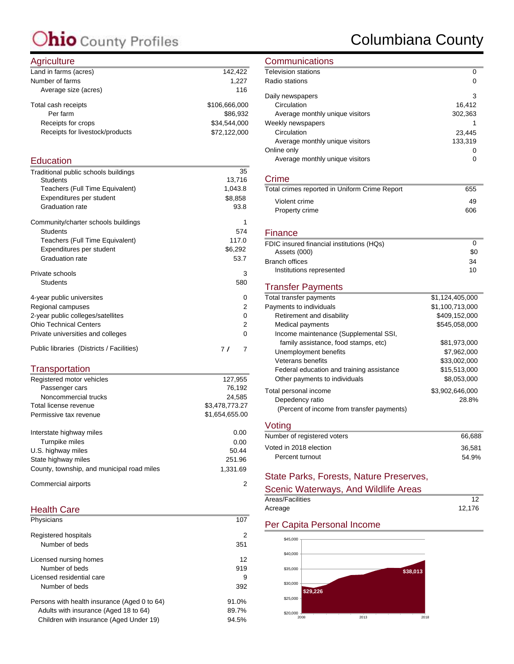### Columbiana County

#### **Agriculture**

| $1.9110$ and $0.01$             |               |
|---------------------------------|---------------|
| Land in farms (acres)           | 142,422       |
| Number of farms                 | 1.227         |
| Average size (acres)            | 116           |
| Total cash receipts             | \$106,666,000 |
| Per farm                        | \$86.932      |
| Receipts for crops              | \$34.544.000  |
| Receipts for livestock/products | \$72,122,000  |
|                                 |               |

#### **Education**

| Traditional public schools buildings      | 35       |
|-------------------------------------------|----------|
| <b>Students</b>                           | 13,716   |
| Teachers (Full Time Equivalent)           | 1,043.8  |
| Expenditures per student                  | \$8,858  |
| <b>Graduation rate</b>                    | 93.8     |
| Community/charter schools buildings       | 1        |
| <b>Students</b>                           | 574      |
| Teachers (Full Time Equivalent)           | 117.0    |
| Expenditures per student                  | \$6,292  |
| <b>Graduation rate</b>                    | 53.7     |
| Private schools                           | 3        |
| <b>Students</b>                           | 580      |
| 4-year public universites                 | 0        |
| Regional campuses                         | 2        |
| 2-year public colleges/satellites         | 0        |
| <b>Ohio Technical Centers</b>             | 2        |
| Private universities and colleges         | $\Omega$ |
| Public libraries (Districts / Facilities) | 77<br>7  |

### **Transportation**

| Registered motor vehicles                  | 127,955        |
|--------------------------------------------|----------------|
| Passenger cars                             | 76.192         |
| Noncommercial trucks                       | 24.585         |
| Total license revenue                      | \$3,478,773.27 |
| Permissive tax revenue                     | \$1,654,655.00 |
| Interstate highway miles                   | 0.00           |
| Turnpike miles                             | 0.00           |
| U.S. highway miles                         | 50.44          |
| State highway miles                        | 251.96         |
| County, township, and municipal road miles | 1.331.69       |
| Commercial airports                        | 2              |

#### Health Care

| Physicians                                   | 107   |
|----------------------------------------------|-------|
| Registered hospitals                         | 2     |
| Number of beds                               | 351   |
| Licensed nursing homes                       | 12    |
| Number of beds                               | 919   |
| Licensed residential care                    | 9     |
| Number of beds                               | 392   |
| Persons with health insurance (Aged 0 to 64) | 91.0% |
| Adults with insurance (Aged 18 to 64)        | 89.7% |
| Children with insurance (Aged Under 19)      | 94.5% |
|                                              |       |

### **Communications**

| <b>Television stations</b>      | 0       |
|---------------------------------|---------|
| Radio stations                  | 0       |
| Daily newspapers                | 3       |
| Circulation                     | 16,412  |
| Average monthly unique visitors | 302,363 |
| Weekly newspapers               |         |
| Circulation                     | 23,445  |
| Average monthly unique visitors | 133,319 |
| Online only                     |         |
| Average monthly unique visitors |         |

#### Crime

| Total crimes reported in Uniform Crime Report | 655 |
|-----------------------------------------------|-----|
| Violent crime                                 | 49  |
| Property crime                                | 606 |
|                                               |     |

#### **Finance**

| FDIC insured financial institutions (HQs) |     |
|-------------------------------------------|-----|
| Assets (000)                              | \$0 |
| Branch offices                            | 34  |
| Institutions represented                  | 10  |

### Transfer Payments

| Total transfer payments                    | \$1,124,405,000 |
|--------------------------------------------|-----------------|
| Payments to individuals                    | \$1,100,713,000 |
| Retirement and disability                  | \$409,152,000   |
| Medical payments                           | \$545.058.000   |
| Income maintenance (Supplemental SSI,      |                 |
| family assistance, food stamps, etc)       | \$81,973,000    |
| Unemployment benefits                      | \$7.962.000     |
| Veterans benefits                          | \$33,002,000    |
| Federal education and training assistance  | \$15,513,000    |
| Other payments to individuals              | \$8,053,000     |
| Total personal income                      | \$3,902,646,000 |
| Depedency ratio                            | 28.8%           |
| (Percent of income from transfer payments) |                 |

#### Voting

| Number of registered voters | 66.688 |
|-----------------------------|--------|
| Voted in 2018 election      | 36.581 |
| Percent turnout             | 54.9%  |
|                             |        |

### State Parks, Forests, Nature Preserves,

| Scenic Waterways, And Wildlife Areas |        |
|--------------------------------------|--------|
| Areas/Facilities                     |        |
| Acreage                              | 12.176 |

#### Per Capita Personal Income